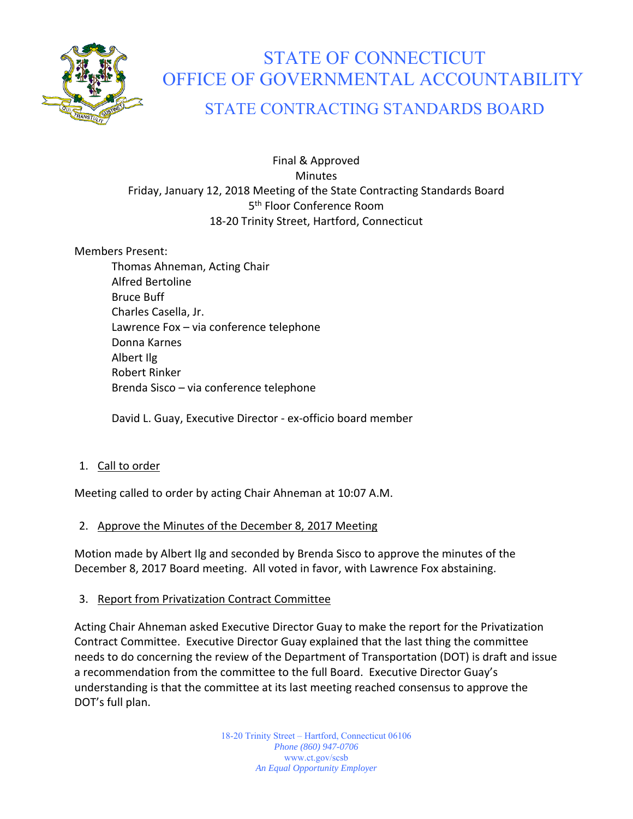

# STATE OF CONNECTICUT OFFICE OF GOVERNMENTAL ACCOUNTABILITY

## STATE CONTRACTING STANDARDS BOARD

#### Final & Approved **Minutes** Friday, January 12, 2018 Meeting of the State Contracting Standards Board 5<sup>th</sup> Floor Conference Room 18‐20 Trinity Street, Hartford, Connecticut

#### Members Present:

Thomas Ahneman, Acting Chair Alfred Bertoline Bruce Buff Charles Casella, Jr. Lawrence Fox – via conference telephone Donna Karnes Albert Ilg Robert Rinker Brenda Sisco – via conference telephone

David L. Guay, Executive Director ‐ ex‐officio board member

#### 1. Call to order

Meeting called to order by acting Chair Ahneman at 10:07 A.M.

#### 2. Approve the Minutes of the December 8, 2017 Meeting

Motion made by Albert Ilg and seconded by Brenda Sisco to approve the minutes of the December 8, 2017 Board meeting. All voted in favor, with Lawrence Fox abstaining.

#### 3. Report from Privatization Contract Committee

Acting Chair Ahneman asked Executive Director Guay to make the report for the Privatization Contract Committee. Executive Director Guay explained that the last thing the committee needs to do concerning the review of the Department of Transportation (DOT) is draft and issue a recommendation from the committee to the full Board. Executive Director Guay's understanding is that the committee at its last meeting reached consensus to approve the DOT's full plan.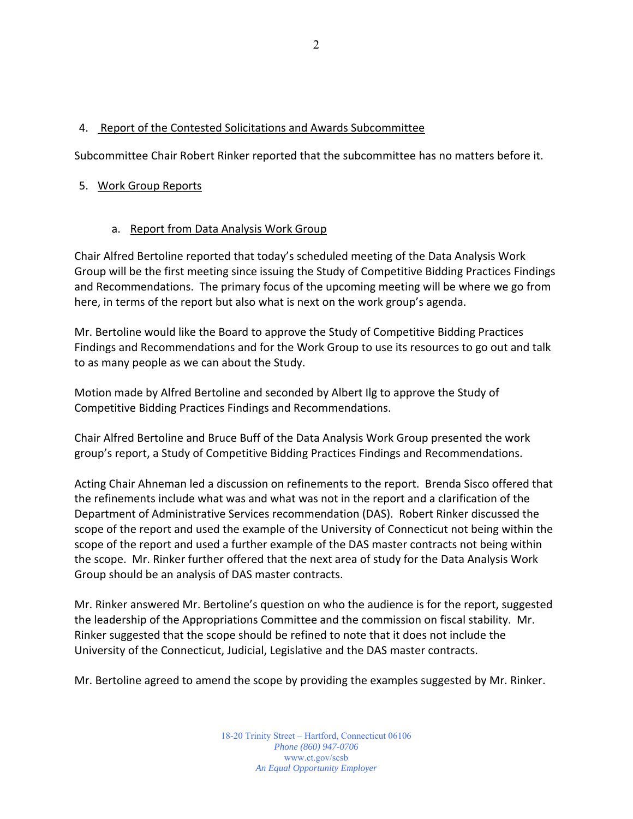#### 4. Report of the Contested Solicitations and Awards Subcommittee

Subcommittee Chair Robert Rinker reported that the subcommittee has no matters before it.

#### 5. Work Group Reports

#### a. Report from Data Analysis Work Group

Chair Alfred Bertoline reported that today's scheduled meeting of the Data Analysis Work Group will be the first meeting since issuing the Study of Competitive Bidding Practices Findings and Recommendations. The primary focus of the upcoming meeting will be where we go from here, in terms of the report but also what is next on the work group's agenda.

Mr. Bertoline would like the Board to approve the Study of Competitive Bidding Practices Findings and Recommendations and for the Work Group to use its resources to go out and talk to as many people as we can about the Study.

Motion made by Alfred Bertoline and seconded by Albert Ilg to approve the Study of Competitive Bidding Practices Findings and Recommendations.

Chair Alfred Bertoline and Bruce Buff of the Data Analysis Work Group presented the work group's report, a Study of Competitive Bidding Practices Findings and Recommendations.

Acting Chair Ahneman led a discussion on refinements to the report. Brenda Sisco offered that the refinements include what was and what was not in the report and a clarification of the Department of Administrative Services recommendation (DAS). Robert Rinker discussed the scope of the report and used the example of the University of Connecticut not being within the scope of the report and used a further example of the DAS master contracts not being within the scope. Mr. Rinker further offered that the next area of study for the Data Analysis Work Group should be an analysis of DAS master contracts.

Mr. Rinker answered Mr. Bertoline's question on who the audience is for the report, suggested the leadership of the Appropriations Committee and the commission on fiscal stability. Mr. Rinker suggested that the scope should be refined to note that it does not include the University of the Connecticut, Judicial, Legislative and the DAS master contracts.

Mr. Bertoline agreed to amend the scope by providing the examples suggested by Mr. Rinker.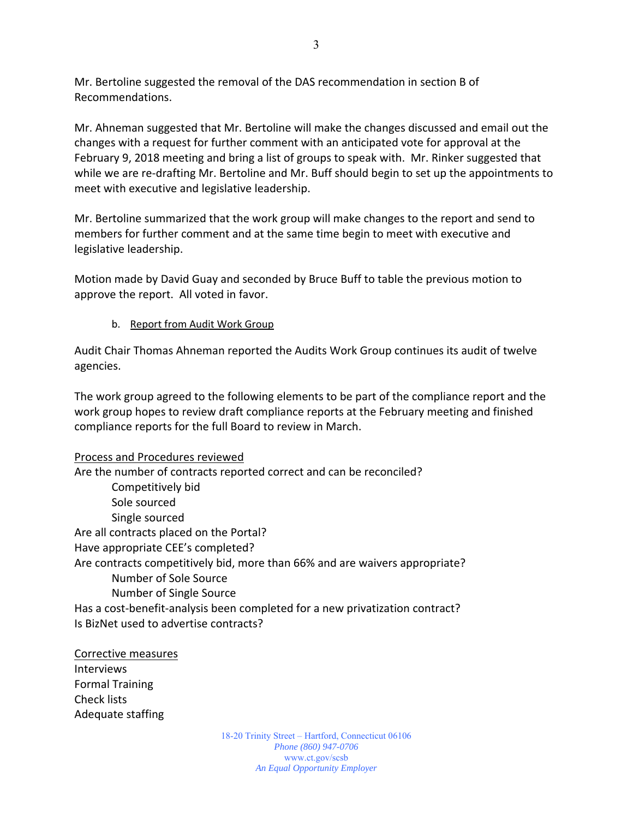Mr. Bertoline suggested the removal of the DAS recommendation in section B of Recommendations.

Mr. Ahneman suggested that Mr. Bertoline will make the changes discussed and email out the changes with a request for further comment with an anticipated vote for approval at the February 9, 2018 meeting and bring a list of groups to speak with. Mr. Rinker suggested that while we are re-drafting Mr. Bertoline and Mr. Buff should begin to set up the appointments to meet with executive and legislative leadership.

Mr. Bertoline summarized that the work group will make changes to the report and send to members for further comment and at the same time begin to meet with executive and legislative leadership.

Motion made by David Guay and seconded by Bruce Buff to table the previous motion to approve the report. All voted in favor.

b. Report from Audit Work Group

Audit Chair Thomas Ahneman reported the Audits Work Group continues its audit of twelve agencies.

The work group agreed to the following elements to be part of the compliance report and the work group hopes to review draft compliance reports at the February meeting and finished compliance reports for the full Board to review in March.

#### Process and Procedures reviewed

Are the number of contracts reported correct and can be reconciled? Competitively bid Sole sourced Single sourced Are all contracts placed on the Portal? Have appropriate CEE's completed? Are contracts competitively bid, more than 66% and are waivers appropriate? Number of Sole Source Number of Single Source Has a cost-benefit-analysis been completed for a new privatization contract? Is BizNet used to advertise contracts?

### Corrective measures Interviews

Formal Training Check lists Adequate staffing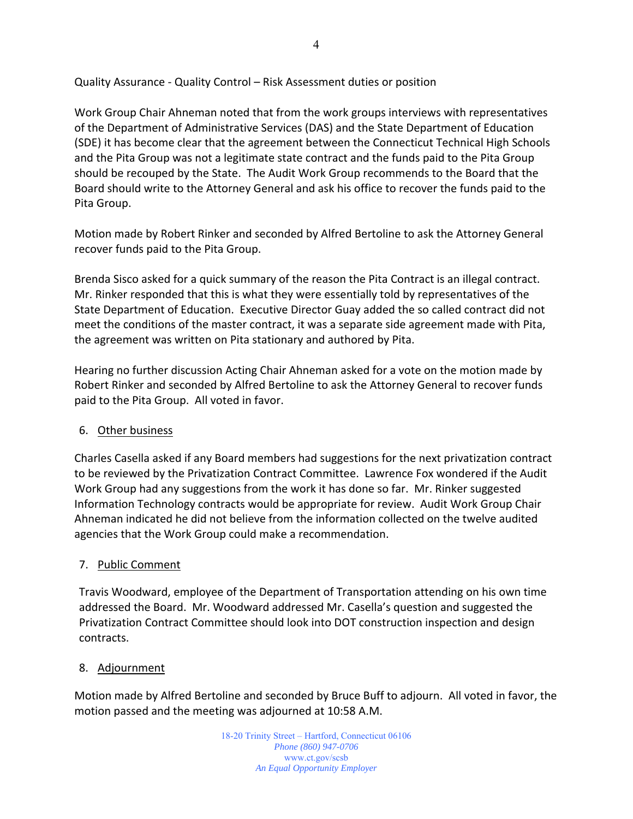Quality Assurance ‐ Quality Control – Risk Assessment duties or position

Work Group Chair Ahneman noted that from the work groups interviews with representatives of the Department of Administrative Services (DAS) and the State Department of Education (SDE) it has become clear that the agreement between the Connecticut Technical High Schools and the Pita Group was not a legitimate state contract and the funds paid to the Pita Group should be recouped by the State. The Audit Work Group recommends to the Board that the Board should write to the Attorney General and ask his office to recover the funds paid to the Pita Group.

Motion made by Robert Rinker and seconded by Alfred Bertoline to ask the Attorney General recover funds paid to the Pita Group.

Brenda Sisco asked for a quick summary of the reason the Pita Contract is an illegal contract. Mr. Rinker responded that this is what they were essentially told by representatives of the State Department of Education. Executive Director Guay added the so called contract did not meet the conditions of the master contract, it was a separate side agreement made with Pita, the agreement was written on Pita stationary and authored by Pita.

Hearing no further discussion Acting Chair Ahneman asked for a vote on the motion made by Robert Rinker and seconded by Alfred Bertoline to ask the Attorney General to recover funds paid to the Pita Group. All voted in favor.

#### 6. Other business

Charles Casella asked if any Board members had suggestions for the next privatization contract to be reviewed by the Privatization Contract Committee. Lawrence Fox wondered if the Audit Work Group had any suggestions from the work it has done so far. Mr. Rinker suggested Information Technology contracts would be appropriate for review. Audit Work Group Chair Ahneman indicated he did not believe from the information collected on the twelve audited agencies that the Work Group could make a recommendation.

#### 7. Public Comment

Travis Woodward, employee of the Department of Transportation attending on his own time addressed the Board. Mr. Woodward addressed Mr. Casella's question and suggested the Privatization Contract Committee should look into DOT construction inspection and design contracts.

#### 8. Adjournment

Motion made by Alfred Bertoline and seconded by Bruce Buff to adjourn. All voted in favor, the motion passed and the meeting was adjourned at 10:58 A.M.